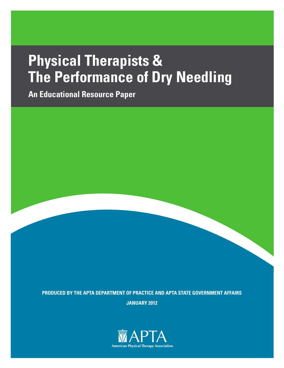# **Physical Therapists & The Performance of Dry Needling**

**An Educational Resource Paper**

**PRODUCED BY THE APTA DEPARTMENT OF PRACTICE AND APTA STATE GOVERNMENT AFFAIRS JANUARY 2012**

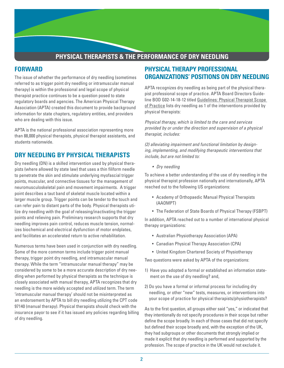## **PHYSICAL THERAPISTS & THE PERFORMANCE OF DRY NEEDLING**

#### **FORWARD**

The issue of whether the performance of dry needling (sometimes referred to as trigger point dry needling or intramuscular manual therapy) is within the professional and legal scope of physical therapist practice continues to be a question posed to state regulatory boards and agencies. The American Physical Therapy Association (APTA) created this document to provide background information for state chapters, regulatory entities, and providers who are dealing with this issue.

APTA is the national professional association representing more than 88,000 physical therapists, physical therapist assistants, and students nationwide.

## **DRY NEEDLING BY PHYSICAL THERAPISTS**

Dry needling (DN) is a skilled intervention used by physical therapists (where allowed by state law) that uses a thin filiform needle to penetrate the skin and stimulate underlying myofascial trigger points, muscular, and connective tissues for the management of neuromusculoskeletal pain and movement impairments. A trigger point describes a taut band of skeletal muscle located within a larger muscle group. Trigger points can be tender to the touch and can refer pain to distant parts of the body. Physical therapists utilize dry needling with the goal of releasing/inactivating the trigger points and relieving pain. Preliminary research supports that dry needling improves pain control, reduces muscle tension, normalizes biochemical and electrical dysfunction of motor endplates, and facilitates an accelerated return to active rehabilitation.

Numerous terms have been used in conjunction with dry needling. Some of the more common terms include trigger point manual therapy, trigger point dry needling, and intramuscular manual therapy. While the term "intramuscular manual therapy" may be considered by some to be a more accurate description of dry needling when performed by physical therapists as the technique is closely associated with manual therapy, APTA recognizes that dry needling is the more widely accepted and utilized term. The term 'intramuscular manual therapy' should not be misinterpreted as an endorsement by APTA to bill dry needling utilizing the CPT code 97140 (manual therapy). Physical therapists should check with the insurance payor to see if it has issued any policies regarding billing of dry needling.

## **PHYSICAL THERAPY PROFESSIONAL ORGANIZATIONS' POSITIONS ON DRY NEEDLING**

APTA recognizes dry needling as being part of the physical therapist professional scope of practice. APTA Board Directors Guideline BOD G02-14-18-12 titled Guidelines: Physical Therapist Scope of Practice lists dry needling as 1 of the interventions provided by physical therapists:

*Physical therapy, which is limited to the care and services provided by or under the direction and supervision of a physical therapist, includes:*

*(2) alleviating impairment and functional limitation by designing, implementing, and modifying therapeutic interventions that include, but are not limited to:*

*• Dry needling*

To achieve a better understanding of the use of dry needling in the physical therapist profession nationally and internationally, APTA reached out to the following US organizations:

- Academy of Orthopaedic Manual Physical Therapists (AAOMPT)
- The Federation of State Boards of Physical Therapy (FSBPT)

In addition, APTA reached out to a number of international physical therapy organizations:

- Australian Physiotherapy Association (APA)
- Canadian Physical Therapy Association (CPA)
- United Kingdom Chartered Society of Physiotherapy

Two questions were asked by APTA of the organizations:

- 1) Have you adopted a formal or established an information statement on the use of dry needling? and,
- 2) Do you have a formal or informal process for including dry needling, or other "new" tests, measures, or interventions into your scope of practice for physical therapists/physiotherapists?

As to the first question, all groups either said "yes," or indicated that they intentionally do not specify procedures in their scope but rather define the scope broadly. In each of those cases that did not specify but defined their scope broadly and, with the exception of the UK, they had subgroups or other documents that strongly implied or made it explicit that dry needling is performed and supported by the profession. The scope of practice in the UK would not exclude it.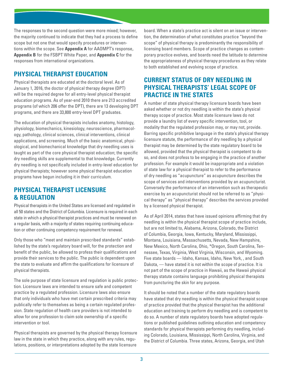The responses to the second question were more mixed; however, the majority continued to indicate that they had a process to define scope but not one that would specify procedures or interventions within the scope. See **Appendix A** for AAOMPT's response*,* **Appendix B** for the FSBPT White Paper, and **Appendix C** for the responses from international organizations.

## **PHYSICAL THERAPIST EDUCATION**

Physical therapists are educated at the doctoral level. As of January 1, 2016, the doctor of physical therapy degree (DPT) will be the required degree for all entry-level physical therapist education programs. As of year-end 2010 there are 213 accredited programs (of which 206 offer the DPT), there are 13 developing DPT programs, and there are 33,800 entry-level DPT graduates.

The education of physical therapists includes anatomy, histology, physiology, biomechanics, kinesiology, neuroscience, pharmacology, pathology, clinical sciences, clinical interventions, clinical applications, and screening. Much of the basic anatomical, physiological, and biomechanical knowledge that dry needling uses is taught as part of the core physical therapist education; the specific dry needling skills are supplemental to that knowledge. Currently dry needling is not specifically included in entry-level education for physical therapists; however some physical therapist education programs have begun including it in their curriculum.

## **PHYSICAL THERAPIST LICENSURE & REGULATION**

Physical therapists in the United States are licensed and regulated in all 50 states and the District of Columbia. Licensure is required in each state in which a physical therapist practices and must be renewed on a regular basis, with a majority of states requiring continuing education or other continuing competency requirement for renewal.

Only those who "meet and maintain prescribed standards" established by the state's regulatory board will, for the protection and benefit of the public, be allowed to profess their qualifications and provide their services to the public. The public is dependent upon the state to evaluate and affirm the qualifications for licensure of physical therapists.

The sole purpose of state licensure and regulation is public protection. Licensure laws are intended to ensure safe and competent practice by a regulated profession. Licensure laws also ensure that only individuals who have met certain prescribed criteria may publically refer to themselves as being a certain regulated profession. State regulation of health care providers is not intended to allow for one profession to claim sole ownership of a specific intervention or tool.

Physical therapists are governed by the physical therapy licensure law in the state in which they practice, along with any rules, regulations, positions, or interpretations adopted by the state licensure

board. When a state's practice act is silent on an issue or intervention, the determination of what constitutes practice "beyond the scope" of physical therapy is predominantly the responsibility of licensing board members. Scope of practice changes as contemporary practice evolves, and boards need the latitude to determine the appropriateness of physical therapy procedures as they relate to both established and evolving scope of practice.

## **CURRENT STATUS OF DRY NEEDLING IN PHYSICAL THERAPISTS' LEGAL SCOPE OF PRACTICE IN THE STATES**

A number of state physical therapy licensure boards have been asked whether or not dry needling is within the state's physical therapy scope of practice. Most state licensure laws do not provide a laundry list of every specific intervention, tool, or modality that the regulated profession may, or may not, provide. Barring specific prohibitive language in the state's physical therapy licensure statute, the performance of dry needling by a physical therapist may be determined by the state regulatory board to be allowed, provided that the physical therapist is competent to do so, and does not profess to be engaging in the practice of another profession. For example it would be inappropriate and a violation of state law for a physical therapist to refer to the performance of dry needling as "acupuncture" as acupuncture describes the scope of services and interventions provided by an acupuncturist. Conversely the performance of an intervention such as therapeutic exercise by an acupuncturist should not be referred to as "physical therapy" as "physical therapy" describes the services provided by a licensed physical therapist.

As of April 2014, states that have issued opinions affirming that dry needling is within the physical therapist scope of practice include, but are not limited to, Alabama, Arizona, Colorado, the District of Columbia, Georgia, Iowa, Kentucky, Maryland, Mississippi, Montana, Louisiana, Massachusetts, Nevada, New Hampshire, New Mexico, North Carolina, Ohio, \*Oregon, South Carolina, Tennessee, Texas, Virginia, West Virginia, Wisconsin, and Wyoming. Five state boards — Idaho, Kansas, Idaho, New York, , and South Dakota, — have stated it is not within the scope of practice. It is not part of the scope of practice in Hawaii, as the Hawaii physical therapy statute contains language prohibiting physical therapists from puncturing the skin for any purpose.

It should be noted that a number of the state regulatory boards have stated that dry needling is within the physical therapist scope of practice provided that the physical therapist has the additional education and training to perform dry needling and is competent to do so. A number of state regulatory boards have adopted regulations or published guidelines outlining education and competency standards for physical therapists performing dry needling, including Colorado, Louisiana, Mississippi, North Carolina, Virginia, and the District of Columbia. Three states, Arizona, Georgia, and Utah